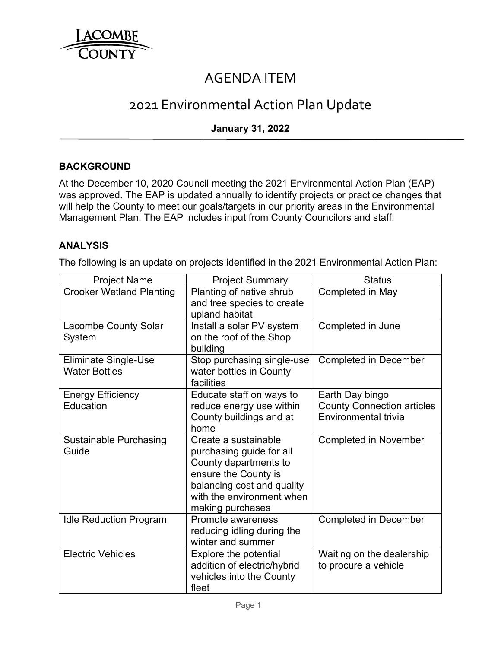

# AGENDA ITEM

# 2021 Environmental Action Plan Update

## **January 31, 2022**

## **BACKGROUND**

At the December 10, 2020 Council meeting the 2021 Environmental Action Plan (EAP) was approved. The EAP is updated annually to identify projects or practice changes that will help the County to meet our goals/targets in our priority areas in the Environmental Management Plan. The EAP includes input from County Councilors and staff.

#### **ANALYSIS**

The following is an update on projects identified in the 2021 Environmental Action Plan:

| <b>Project Name</b>                                 | <b>Project Summary</b>                                                                                                                                                           | <b>Status</b>                                                                |
|-----------------------------------------------------|----------------------------------------------------------------------------------------------------------------------------------------------------------------------------------|------------------------------------------------------------------------------|
| <b>Crooker Wetland Planting</b>                     | Planting of native shrub<br>and tree species to create<br>upland habitat                                                                                                         | Completed in May                                                             |
| <b>Lacombe County Solar</b><br>System               | Install a solar PV system<br>on the roof of the Shop<br>building                                                                                                                 | Completed in June                                                            |
| <b>Eliminate Single-Use</b><br><b>Water Bottles</b> | Stop purchasing single-use<br>water bottles in County<br>facilities                                                                                                              | <b>Completed in December</b>                                                 |
| <b>Energy Efficiency</b><br>Education               | Educate staff on ways to<br>reduce energy use within<br>County buildings and at<br>home                                                                                          | Earth Day bingo<br><b>County Connection articles</b><br>Environmental trivia |
| <b>Sustainable Purchasing</b><br>Guide              | Create a sustainable<br>purchasing guide for all<br>County departments to<br>ensure the County is<br>balancing cost and quality<br>with the environment when<br>making purchases | <b>Completed in November</b>                                                 |
| <b>Idle Reduction Program</b>                       | Promote awareness<br>reducing idling during the<br>winter and summer                                                                                                             | <b>Completed in December</b>                                                 |
| <b>Electric Vehicles</b>                            | Explore the potential<br>addition of electric/hybrid<br>vehicles into the County<br>fleet                                                                                        | Waiting on the dealership<br>to procure a vehicle                            |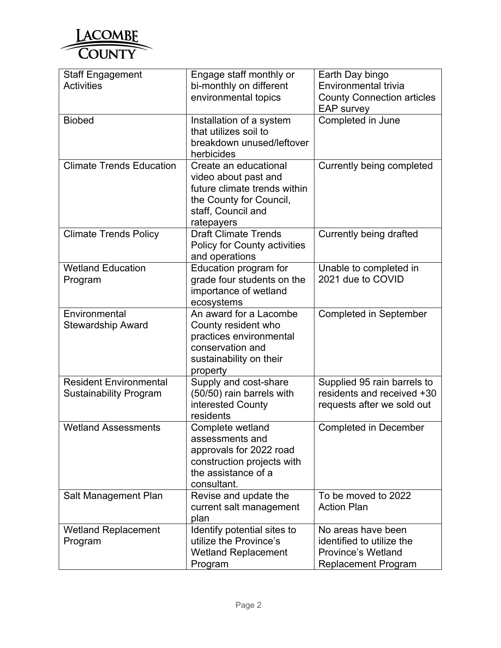

| <b>Staff Engagement</b>             | Engage staff monthly or                             | Earth Day bingo                                        |
|-------------------------------------|-----------------------------------------------------|--------------------------------------------------------|
| <b>Activities</b>                   | bi-monthly on different                             | Environmental trivia                                   |
|                                     | environmental topics                                | <b>County Connection articles</b><br><b>EAP survey</b> |
| <b>Biobed</b>                       | Installation of a system                            | Completed in June                                      |
|                                     | that utilizes soil to                               |                                                        |
|                                     | breakdown unused/leftover<br>herbicides             |                                                        |
| <b>Climate Trends Education</b>     | Create an educational                               | Currently being completed                              |
|                                     | video about past and                                |                                                        |
|                                     | future climate trends within                        |                                                        |
|                                     | the County for Council,                             |                                                        |
|                                     | staff, Council and<br>ratepayers                    |                                                        |
| <b>Climate Trends Policy</b>        | <b>Draft Climate Trends</b>                         | Currently being drafted                                |
|                                     | Policy for County activities                        |                                                        |
|                                     | and operations                                      |                                                        |
| <b>Wetland Education</b><br>Program | Education program for<br>grade four students on the | Unable to completed in<br>2021 due to COVID            |
|                                     | importance of wetland                               |                                                        |
|                                     | ecosystems                                          |                                                        |
| Environmental                       | An award for a Lacombe                              | <b>Completed in September</b>                          |
| <b>Stewardship Award</b>            | County resident who                                 |                                                        |
|                                     | practices environmental                             |                                                        |
|                                     | conservation and<br>sustainability on their         |                                                        |
|                                     | property                                            |                                                        |
| <b>Resident Environmental</b>       | Supply and cost-share                               | Supplied 95 rain barrels to                            |
| <b>Sustainability Program</b>       | (50/50) rain barrels with                           | residents and received +30                             |
|                                     | interested County                                   | requests after we sold out                             |
|                                     | residents                                           |                                                        |
| <b>Wetland Assessments</b>          | Complete wetland<br>assessments and                 | <b>Completed in December</b>                           |
|                                     | approvals for 2022 road                             |                                                        |
|                                     | construction projects with                          |                                                        |
|                                     | the assistance of a                                 |                                                        |
|                                     | consultant.                                         |                                                        |
| Salt Management Plan                | Revise and update the                               | To be moved to 2022                                    |
|                                     | current salt management<br>plan                     | <b>Action Plan</b>                                     |
| <b>Wetland Replacement</b>          | Identify potential sites to                         | No areas have been                                     |
| Program                             | utilize the Province's                              | identified to utilize the                              |
|                                     | <b>Wetland Replacement</b>                          | <b>Province's Wetland</b>                              |
|                                     | Program                                             | <b>Replacement Program</b>                             |